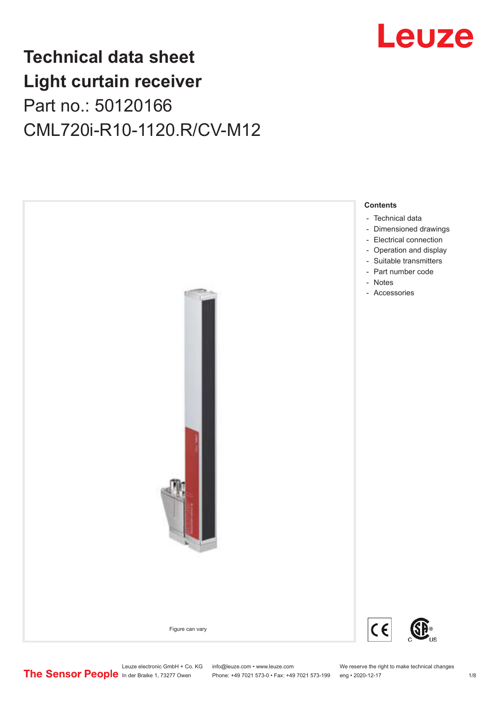# Leuze

## **Technical data sheet Light curtain receiver** Part no.: 50120166 CML720i-R10-1120.R/CV-M12



Leuze electronic GmbH + Co. KG info@leuze.com • www.leuze.com We reserve the right to make technical changes<br>
The Sensor People in der Braike 1, 73277 Owen Phone: +49 7021 573-0 • Fax: +49 7021 573-199 eng • 2020-12-17

Phone: +49 7021 573-0 • Fax: +49 7021 573-199 eng • 2020-12-17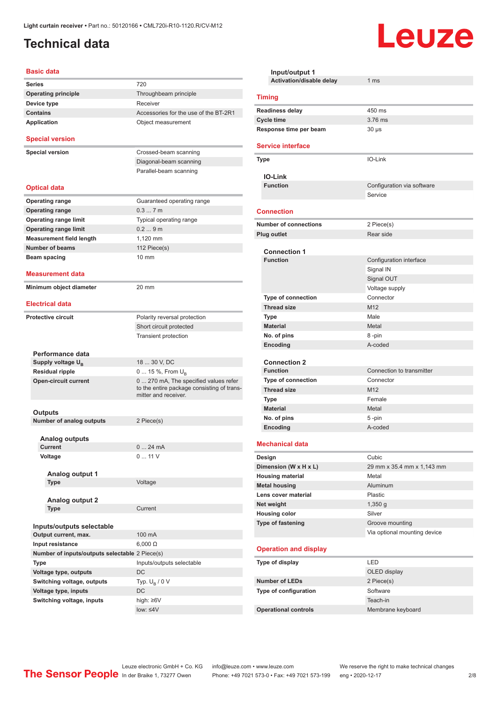### <span id="page-1-0"></span>**Technical data**

#### **Basic data**

| <b>Series</b>                                     | 720                                                                                                        |
|---------------------------------------------------|------------------------------------------------------------------------------------------------------------|
| <b>Operating principle</b>                        | Throughbeam principle                                                                                      |
| Device type                                       | Receiver                                                                                                   |
| <b>Contains</b>                                   | Accessories for the use of the BT-2R1                                                                      |
| <b>Application</b>                                | Object measurement                                                                                         |
| <b>Special version</b>                            |                                                                                                            |
| <b>Special version</b>                            | Crossed-beam scanning                                                                                      |
|                                                   | Diagonal-beam scanning                                                                                     |
|                                                   | Parallel-beam scanning                                                                                     |
|                                                   |                                                                                                            |
| <b>Optical data</b>                               |                                                                                                            |
| <b>Operating range</b>                            | Guaranteed operating range                                                                                 |
| <b>Operating range</b>                            | 0.37m                                                                                                      |
| <b>Operating range limit</b>                      | Typical operating range                                                                                    |
| <b>Operating range limit</b>                      | 0.29m                                                                                                      |
| <b>Measurement field length</b>                   | 1.120 mm                                                                                                   |
| <b>Number of beams</b>                            | 112 Piece(s)                                                                                               |
| Beam spacing                                      | 10 mm                                                                                                      |
|                                                   |                                                                                                            |
| <b>Measurement data</b>                           |                                                                                                            |
| Minimum object diameter                           | 20 mm                                                                                                      |
|                                                   |                                                                                                            |
| <b>Electrical data</b>                            |                                                                                                            |
| <b>Protective circuit</b>                         | Polarity reversal protection                                                                               |
|                                                   | Short circuit protected                                                                                    |
|                                                   | Transient protection                                                                                       |
|                                                   |                                                                                                            |
| Performance data                                  |                                                                                                            |
| Supply voltage U <sub>B</sub>                     | 18  30 V, DC                                                                                               |
| <b>Residual ripple</b>                            | 0  15 %, From $U_B$                                                                                        |
| <b>Open-circuit current</b>                       | 0 270 mA, The specified values refer<br>to the entire package consisting of trans-<br>mitter and receiver. |
|                                                   |                                                                                                            |
| Outputs                                           |                                                                                                            |
| <b>Number of analog outputs</b>                   | 2 Piece(s)                                                                                                 |
| <b>Analog outputs</b>                             |                                                                                                            |
| Current                                           | $0$<br>24 mA                                                                                               |
| Voltage                                           | 011V                                                                                                       |
|                                                   |                                                                                                            |
| Analog output 1                                   |                                                                                                            |
| <b>Type</b>                                       | Voltage                                                                                                    |
|                                                   |                                                                                                            |
| <b>Analog output 2</b>                            |                                                                                                            |
| Type                                              | Current                                                                                                    |
|                                                   |                                                                                                            |
| Inputs/outputs selectable<br>Output current, max. | 100 mA                                                                                                     |
|                                                   |                                                                                                            |
| Input resistance                                  | $6,000 \Omega$                                                                                             |
| Number of inputs/outputs selectable 2 Piece(s)    |                                                                                                            |
| Type                                              | Inputs/outputs selectable                                                                                  |
| Voltage type, outputs                             | DC                                                                                                         |
| Switching voltage, outputs                        | Typ. $U_R / 0 V$                                                                                           |
| Voltage type, inputs                              | DC                                                                                                         |
| Switching voltage, inputs                         | high: ≥6V                                                                                                  |
|                                                   | $low: 4V$                                                                                                  |

| Input/output 1<br>Activation/disable delay | 1 <sub>ms</sub>              |  |  |  |
|--------------------------------------------|------------------------------|--|--|--|
|                                            |                              |  |  |  |
| <b>Timing</b>                              |                              |  |  |  |
| <b>Readiness delay</b>                     | 450 ms                       |  |  |  |
| <b>Cycle time</b>                          | 3.76 ms                      |  |  |  |
| Response time per beam                     | $30 \mu s$                   |  |  |  |
| <b>Service interface</b>                   |                              |  |  |  |
| <b>Type</b>                                | IO-Link                      |  |  |  |
| <b>IO-Link</b>                             |                              |  |  |  |
| <b>Function</b>                            | Configuration via software   |  |  |  |
|                                            | Service                      |  |  |  |
| <b>Connection</b>                          |                              |  |  |  |
| <b>Number of connections</b>               | 2 Piece(s)                   |  |  |  |
| <b>Plug outlet</b>                         | Rear side                    |  |  |  |
|                                            |                              |  |  |  |
| <b>Connection 1</b>                        |                              |  |  |  |
| <b>Function</b>                            | Configuration interface      |  |  |  |
|                                            | Signal IN                    |  |  |  |
|                                            | Signal OUT                   |  |  |  |
|                                            | Voltage supply<br>Connector  |  |  |  |
| Type of connection<br><b>Thread size</b>   | M <sub>12</sub>              |  |  |  |
| <b>Type</b>                                | Male                         |  |  |  |
| <b>Material</b>                            | Metal                        |  |  |  |
| No. of pins                                | 8-pin                        |  |  |  |
| Encoding                                   | A-coded                      |  |  |  |
|                                            |                              |  |  |  |
| <b>Connection 2</b>                        |                              |  |  |  |
| <b>Function</b>                            | Connection to transmitter    |  |  |  |
| <b>Type of connection</b>                  | Connector                    |  |  |  |
| <b>Thread size</b>                         | M <sub>12</sub>              |  |  |  |
| <b>Type</b>                                | Female                       |  |  |  |
| <b>Material</b>                            | Metal                        |  |  |  |
| No. of pins                                | 5-pin                        |  |  |  |
| Encoding                                   | A-coded                      |  |  |  |
| <b>Mechanical data</b>                     |                              |  |  |  |
| Design                                     | Cubic                        |  |  |  |
| Dimension (W x H x L)                      | 29 mm x 35.4 mm x 1,143 mm   |  |  |  |
| <b>Housing material</b>                    | Metal                        |  |  |  |
| <b>Metal housing</b>                       | Aluminum                     |  |  |  |
| Lens cover material                        | <b>Plastic</b>               |  |  |  |
| Net weight                                 | $1,350$ g                    |  |  |  |
| <b>Housing color</b>                       | Silver                       |  |  |  |
| Type of fastening                          | Groove mounting              |  |  |  |
|                                            | Via optional mounting device |  |  |  |
| <b>Operation and display</b>               |                              |  |  |  |
| Type of display                            | LED                          |  |  |  |
|                                            | OLED display                 |  |  |  |
| <b>Number of LEDs</b>                      | 2 Piece(s)                   |  |  |  |
| Type of configuration                      | Software                     |  |  |  |
|                                            | Teach-in                     |  |  |  |
| <b>Operational controls</b>                | Membrane keyboard            |  |  |  |

Leuze

Leuze electronic GmbH + Co. KG info@leuze.com • www.leuze.com We reserve the right to make technical changes ln der Braike 1, 73277 Owen Phone: +49 7021 573-0 • Fax: +49 7021 573-199 eng • 2020-12-17 2/8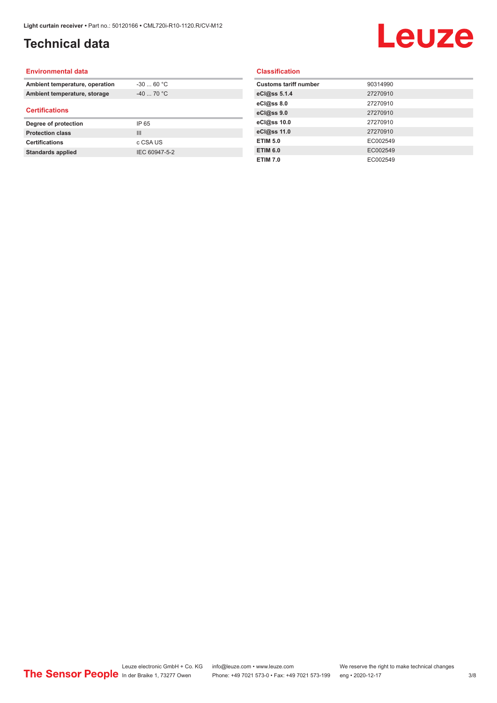### **Technical data**

# Leuze

#### **Environmental data**

| Ambient temperature, operation | $-30$ 60 °C    |  |
|--------------------------------|----------------|--|
| Ambient temperature, storage   | $-40$ 70 °C    |  |
| <b>Certifications</b>          |                |  |
| Degree of protection           | IP 65          |  |
| <b>Protection class</b>        | $\mathbf{III}$ |  |
| <b>Certifications</b>          | c CSA US       |  |
| <b>Standards applied</b>       | IEC 60947-5-2  |  |

#### **Classification**

| <b>Customs tariff number</b> | 90314990 |
|------------------------------|----------|
| eCl@ss 5.1.4                 | 27270910 |
| eCl@ss 8.0                   | 27270910 |
| eCl@ss 9.0                   | 27270910 |
| eCl@ss 10.0                  | 27270910 |
| eCl@ss 11.0                  | 27270910 |
| <b>ETIM 5.0</b>              | EC002549 |
| <b>ETIM 6.0</b>              | EC002549 |
| <b>ETIM 7.0</b>              | EC002549 |
|                              |          |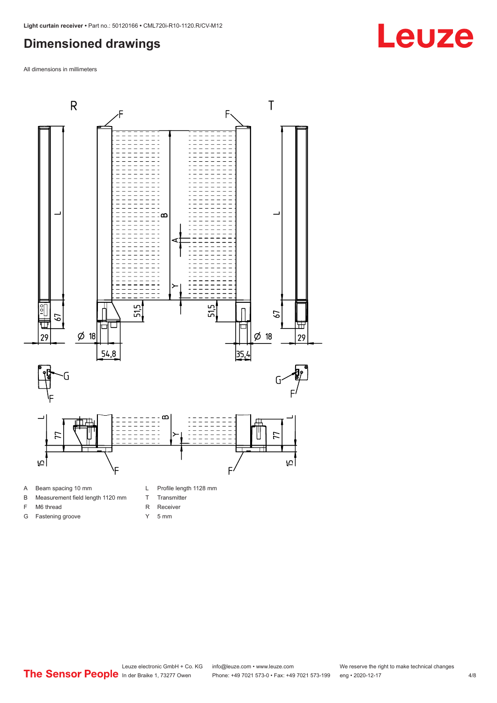### <span id="page-3-0"></span>**Dimensioned drawings**

All dimensions in millimeters



- B Measurement field length 1120 mm
- F M6 thread

G Fastening groove

- R Receiver
	- Y 5 mm

T Transmitter

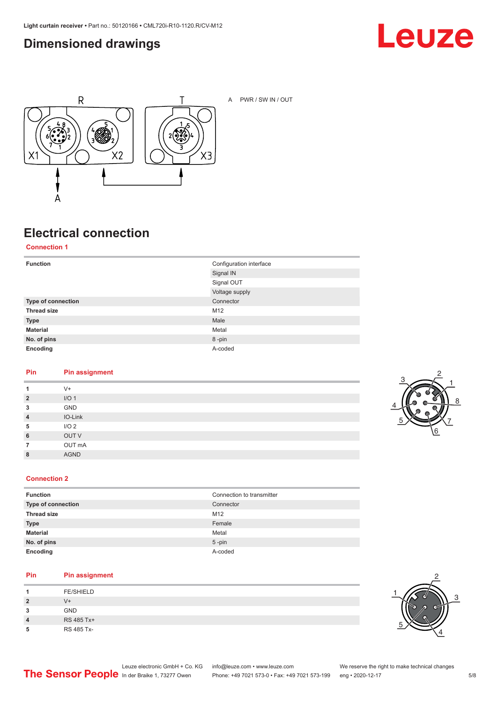### <span id="page-4-0"></span>**Dimensioned drawings**





A PWR / SW IN / OUT

### **Electrical connection**

**Connection 1**

| <b>Function</b>    | Configuration interface |
|--------------------|-------------------------|
|                    | Signal IN               |
|                    | Signal OUT              |
|                    | Voltage supply          |
| Type of connection | Connector               |
| <b>Thread size</b> | M12                     |
| <b>Type</b>        | Male                    |
| <b>Material</b>    | Metal                   |
| No. of pins        | 8-pin                   |
| Encoding           | A-coded                 |

#### **Pin Pin assignment**

| 1              | $V +$            |
|----------------|------------------|
| $\overline{2}$ | I/O <sub>1</sub> |
| 3              | GND              |
| $\overline{4}$ | IO-Link          |
| 5              | I/O <sub>2</sub> |
| 6              | OUT V            |
| 7              | OUT mA           |
| 8              | <b>AGND</b>      |
|                |                  |



#### **Connection 2**

| <b>Function</b>    | Connection to transmitter |
|--------------------|---------------------------|
| Type of connection | Connector                 |
| <b>Thread size</b> | M <sub>12</sub>           |
| <b>Type</b>        | Female                    |
| <b>Material</b>    | Metal                     |
| No. of pins        | $5$ -pin                  |
| Encoding           | A-coded                   |

#### **Pin Pin assignment**

| л              | <b>FE/SHIELD</b> |
|----------------|------------------|
| $\overline{2}$ | V+               |
| 3              | <b>GND</b>       |
| 4              | RS 485 Tx+       |
| 5              | RS 485 Tx-       |

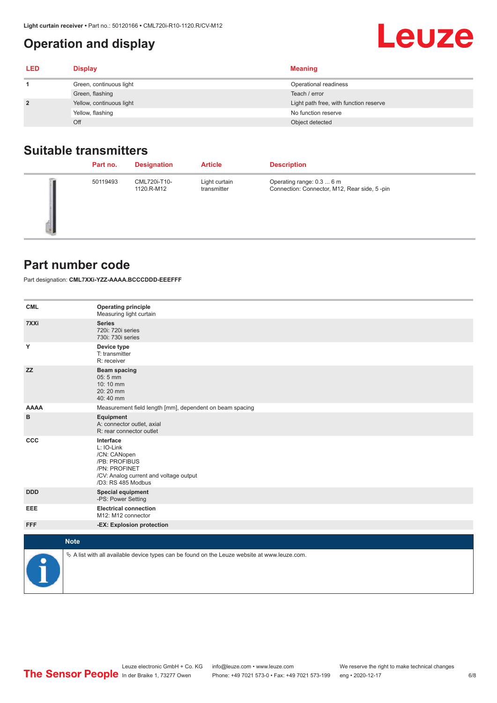### <span id="page-5-0"></span>**Operation and display**

| <b>LED</b>     | <b>Display</b>           | <b>Meaning</b>                         |
|----------------|--------------------------|----------------------------------------|
|                | Green, continuous light  | Operational readiness                  |
|                | Green, flashing          | Teach / error                          |
| $\overline{2}$ | Yellow, continuous light | Light path free, with function reserve |
|                | Yellow, flashing         | No function reserve                    |
|                | Off                      | Object detected                        |

### **Suitable transmitters**

| Part no. | <b>Designation</b>         | <b>Article</b>               | <b>Description</b>                                                        |
|----------|----------------------------|------------------------------|---------------------------------------------------------------------------|
| 50119493 | CML720i-T10-<br>1120.R-M12 | Light curtain<br>transmitter | Operating range: 0.3  6 m<br>Connection: Connector, M12, Rear side, 5-pin |

#### **Part number code**

Part designation: **CML7XXi-YZZ-AAAA.BCCCDDD-EEEFFF**

| <b>CML</b>           | <b>Operating principle</b><br>Measuring light curtain                                                                                     |
|----------------------|-------------------------------------------------------------------------------------------------------------------------------------------|
| 7XXi                 | <b>Series</b><br>720i: 720i series<br>730i: 730i series                                                                                   |
| Y                    | Device type<br>T: transmitter<br>R: receiver                                                                                              |
| <b>ZZ</b>            | <b>Beam spacing</b><br>05:5 mm<br>10:10 mm<br>20:20 mm<br>40:40 mm                                                                        |
| <b>AAAA</b>          | Measurement field length [mm], dependent on beam spacing                                                                                  |
| в                    | Equipment<br>A: connector outlet, axial<br>R: rear connector outlet                                                                       |
| CCC                  | Interface<br>L: IO-Link<br>/CN: CANopen<br>/PB: PROFIBUS<br>/PN: PROFINET<br>/CV: Analog current and voltage output<br>/D3: RS 485 Modbus |
| <b>DDD</b>           | <b>Special equipment</b><br>-PS: Power Setting                                                                                            |
| <b>EEE</b>           | <b>Electrical connection</b><br>M12: M12 connector                                                                                        |
| <b>FFF</b>           | -EX: Explosion protection                                                                                                                 |
| <b>Note</b>          |                                                                                                                                           |
|                      |                                                                                                                                           |
| $\ddot{\phantom{1}}$ | $\&$ A list with all available device types can be found on the Leuze website at www.leuze.com.                                           |

Leuze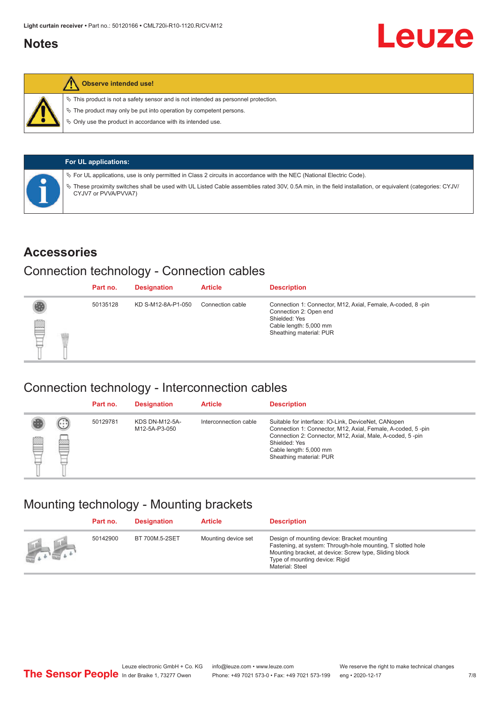#### <span id="page-6-0"></span>**Notes**



#### **Observe intended use!**

 $\%$  This product is not a safety sensor and is not intended as personnel protection.

 $\%$  The product may only be put into operation by competent persons.

 $\%$  Only use the product in accordance with its intended use.

| <b>For UL applications:</b>                                                                                                                                                       |
|-----------------------------------------------------------------------------------------------------------------------------------------------------------------------------------|
| $\%$ For UL applications, use is only permitted in Class 2 circuits in accordance with the NEC (National Electric Code).                                                          |
| V These proximity switches shall be used with UL Listed Cable assemblies rated 30V, 0.5A min, in the field installation, or equivalent (categories: CYJV/<br>CYJV7 or PVVA/PVVA7) |

#### **Accessories**

#### Connection technology - Connection cables

|   | Part no. | <b>Designation</b> | <b>Article</b>   | <b>Description</b>                                                                                                                                          |
|---|----------|--------------------|------------------|-------------------------------------------------------------------------------------------------------------------------------------------------------------|
| ▇ | 50135128 | KD S-M12-8A-P1-050 | Connection cable | Connection 1: Connector, M12, Axial, Female, A-coded, 8-pin<br>Connection 2: Open end<br>Shielded: Yes<br>Cable length: 5,000 mm<br>Sheathing material: PUR |

#### Connection technology - Interconnection cables

|   |               | Part no. | <b>Designation</b>                     | <b>Article</b>        | <b>Description</b>                                                                                                                                                                                                                                    |
|---|---------------|----------|----------------------------------------|-----------------------|-------------------------------------------------------------------------------------------------------------------------------------------------------------------------------------------------------------------------------------------------------|
| ▤ | $\cdots$<br>Þ | 50129781 | <b>KDS DN-M12-5A-</b><br>M12-5A-P3-050 | Interconnection cable | Suitable for interface: IO-Link, DeviceNet, CANopen<br>Connection 1: Connector, M12, Axial, Female, A-coded, 5-pin<br>Connection 2: Connector, M12, Axial, Male, A-coded, 5-pin<br>Shielded: Yes<br>Cable length: 5,000 mm<br>Sheathing material: PUR |

#### Mounting technology - Mounting brackets

|                                               | Part no. | <b>Designation</b> | <b>Article</b>      | <b>Description</b>                                                                                                                                                                                                        |
|-----------------------------------------------|----------|--------------------|---------------------|---------------------------------------------------------------------------------------------------------------------------------------------------------------------------------------------------------------------------|
| $\frac{1}{2}$ , $\frac{1}{2}$ , $\frac{1}{2}$ | 50142900 | BT 700M.5-2SET     | Mounting device set | Design of mounting device: Bracket mounting<br>Fastening, at system: Through-hole mounting, T slotted hole<br>Mounting bracket, at device: Screw type, Sliding block<br>Type of mounting device: Rigid<br>Material: Steel |

Leuze